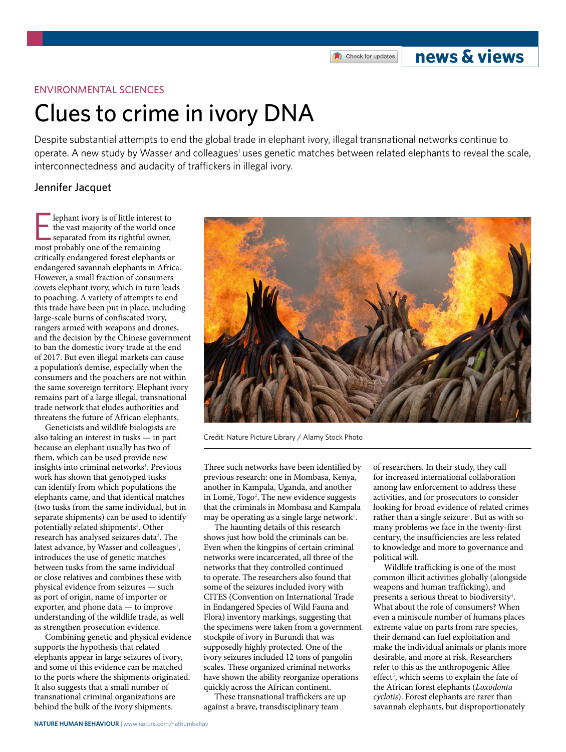# **news & views**

### ENVIRONMENTAL SCIENCES

# Clues to crime in ivory DNA

Despite substantial attempts to end the global trade in elephant ivory, illegal transnational networks continue to operate. A new study by Wasser and colleagues<sup>[1](#page-1-0)</sup> uses genetic matches between related elephants to reveal the scale, interconnectedness and audacity of traffickers in illegal ivory.

## Jennifer Jacquet

lephant ivory is of little interest<br>the vast majority of the world c<br>separated from its rightful own<br>most probably one of the remaining lephant ivory is of little interest to the vast majority of the world once separated from its rightful owner, critically endangered forest elephants or endangered savannah elephants in Africa. However, a small fraction of consumers covets elephant ivory, which in turn leads to poaching. A variety of attempts to end this trade have been put in place, including large-scale burns of confiscated ivory, rangers armed with weapons and drones, and the decision by the Chinese government to ban the domestic ivory trade at the end of 2017. But even illegal markets can cause a population's demise, especially when the consumers and the poachers are not within the same sovereign territory. Elephant ivory remains part of a large illegal, transnational trade network that eludes authorities and threatens the future of African elephants.

Geneticists and wildlife biologists are also taking an interest in tusks — in part because an elephant usually has two of them, which can be used provide new insights into criminal networks<sup>[1](#page-1-0)</sup>. Previous work has shown that genotyped tusks can identify from which populations the elephants came, and that identical matches (two tusks from the same individual, but in separate shipments) can be used to identify potentially related shipments<sup>2</sup>. Other research has analysed seizures data<sup>3</sup>. The latest advance, by Wasser and colleagues<sup>1</sup>, introduces the use of genetic matches between tusks from the same individual or close relatives and combines these with physical evidence from seizures — such as port of origin, name of importer or exporter, and phone data — to improve understanding of the wildlife trade, as well as strengthen prosecution evidence.

Combining genetic and physical evidence supports the hypothesis that related elephants appear in large seizures of ivory, and some of this evidence can be matched to the ports where the shipments originated. It also suggests that a small number of transnational criminal organizations are behind the bulk of the ivory shipments.



Credit: Nature Picture Library / Alamy Stock Photo

Three such networks have been identified by previous research: one in Mombasa, Kenya, another in Kampala, Uganda, and another in Lomé, Togo<sup>2</sup>. The new evidence suggests that the criminals in Mombasa and Kampala may be operating as a single large network<sup>1</sup>.

The haunting details of this research shows just how bold the criminals can be. Even when the kingpins of certain criminal networks were incarcerated, all three of the networks that they controlled continued to operate. The researchers also found that some of the seizures included ivory with CITES (Convention on International Trade in Endangered Species of Wild Fauna and Flora) inventory markings, suggesting that the specimens were taken from a government stockpile of ivory in Burundi that was supposedly highly protected. One of the ivory seizures included 12 tons of pangolin scales. These organized criminal networks have shown the ability reorganize operations quickly across the African continent.

These transnational traffickers are up against a brave, transdisciplinary team

of researchers. In their study, they call for increased international collaboration among law enforcement to address these activities, and for prosecutors to consider looking for broad evidence of related crimes rather than a single seizure<sup>[1](#page-1-0)</sup>. But as with so many problems we face in the twenty-first century, the insufficiencies are less related to knowledge and more to governance and political will.

Wildlife trafficking is one of the most common illicit activities globally (alongside weapons and human trafficking), and presents a serious threat to biodiversity<sup>[4](#page-1-3)</sup>. What about the role of consumers? When even a miniscule number of humans places extreme value on parts from rare species, their demand can fuel exploitation and make the individual animals or plants more desirable, and more at risk. Researchers refer to this as the anthropogenic Allee effect<sup>5</sup>, which seems to explain the fate of the African forest elephants (*Loxodonta cyclotis*). Forest elephants are rarer than savannah elephants, but disproportionately